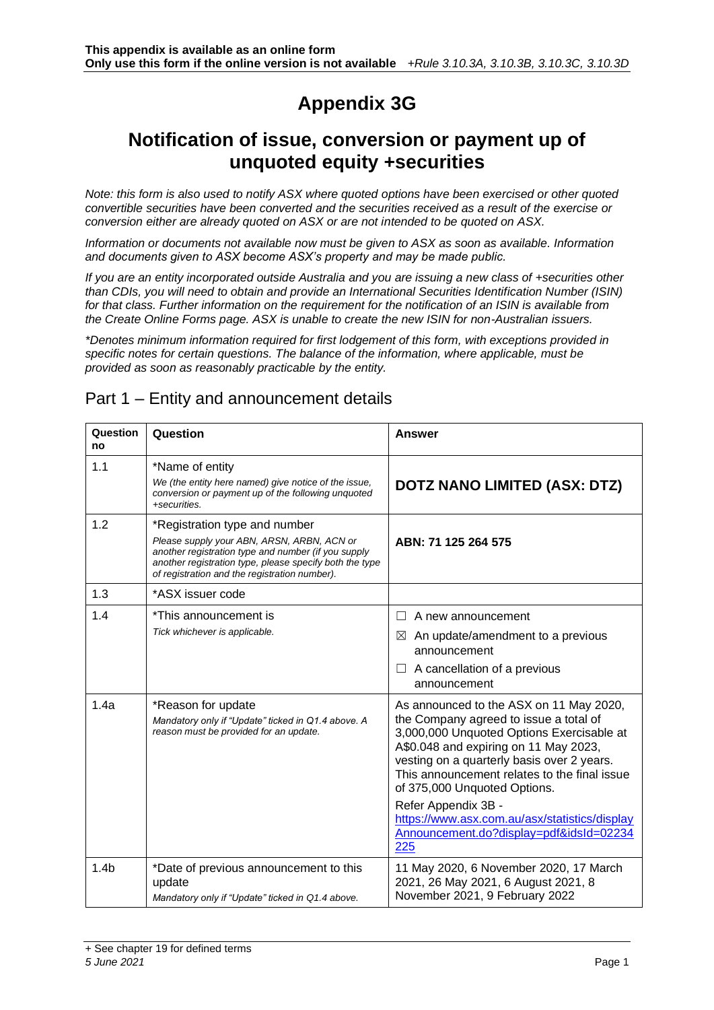# **Appendix 3G**

### **Notification of issue, conversion or payment up of unquoted equity +securities**

*Note: this form is also used to notify ASX where quoted options have been exercised or other quoted convertible securities have been converted and the securities received as a result of the exercise or conversion either are already quoted on ASX or are not intended to be quoted on ASX.*

*Information or documents not available now must be given to ASX as soon as available. Information and documents given to ASX become ASX's property and may be made public.*

*If you are an entity incorporated outside Australia and you are issuing a new class of +securities other than CDIs, you will need to obtain and provide an International Securities Identification Number (ISIN) for that class. Further information on the requirement for the notification of an ISIN is available from the Create Online Forms page. ASX is unable to create the new ISIN for non-Australian issuers.*

*\*Denotes minimum information required for first lodgement of this form, with exceptions provided in specific notes for certain questions. The balance of the information, where applicable, must be provided as soon as reasonably practicable by the entity.*

| Question<br>no   | Question                                                                                                                                                                                                                                       | <b>Answer</b>                                                                                                                                                                                                                                                                                                                                                                                                                   |
|------------------|------------------------------------------------------------------------------------------------------------------------------------------------------------------------------------------------------------------------------------------------|---------------------------------------------------------------------------------------------------------------------------------------------------------------------------------------------------------------------------------------------------------------------------------------------------------------------------------------------------------------------------------------------------------------------------------|
| 1.1              | *Name of entity<br>We (the entity here named) give notice of the issue,<br>conversion or payment up of the following unquoted<br>+securities.                                                                                                  | <b>DOTZ NANO LIMITED (ASX: DTZ)</b>                                                                                                                                                                                                                                                                                                                                                                                             |
| 1.2              | *Registration type and number<br>Please supply your ABN, ARSN, ARBN, ACN or<br>another registration type and number (if you supply<br>another registration type, please specify both the type<br>of registration and the registration number). | ABN: 71 125 264 575                                                                                                                                                                                                                                                                                                                                                                                                             |
| 1.3              | *ASX issuer code                                                                                                                                                                                                                               |                                                                                                                                                                                                                                                                                                                                                                                                                                 |
| 1.4              | *This announcement is<br>Tick whichever is applicable.                                                                                                                                                                                         | A new announcement<br>An update/amendment to a previous<br>⊠<br>announcement<br>A cancellation of a previous<br>announcement                                                                                                                                                                                                                                                                                                    |
| 1.4a             | *Reason for update<br>Mandatory only if "Update" ticked in Q1.4 above. A<br>reason must be provided for an update.                                                                                                                             | As announced to the ASX on 11 May 2020,<br>the Company agreed to issue a total of<br>3,000,000 Unquoted Options Exercisable at<br>A\$0.048 and expiring on 11 May 2023,<br>vesting on a quarterly basis over 2 years.<br>This announcement relates to the final issue<br>of 375,000 Unquoted Options.<br>Refer Appendix 3B -<br>https://www.asx.com.au/asx/statistics/display<br>Announcement.do?display=pdf&idsId=02234<br>225 |
| 1.4 <sub>b</sub> | *Date of previous announcement to this<br>update<br>Mandatory only if "Update" ticked in Q1.4 above.                                                                                                                                           | 11 May 2020, 6 November 2020, 17 March<br>2021, 26 May 2021, 6 August 2021, 8<br>November 2021, 9 February 2022                                                                                                                                                                                                                                                                                                                 |

### Part 1 – Entity and announcement details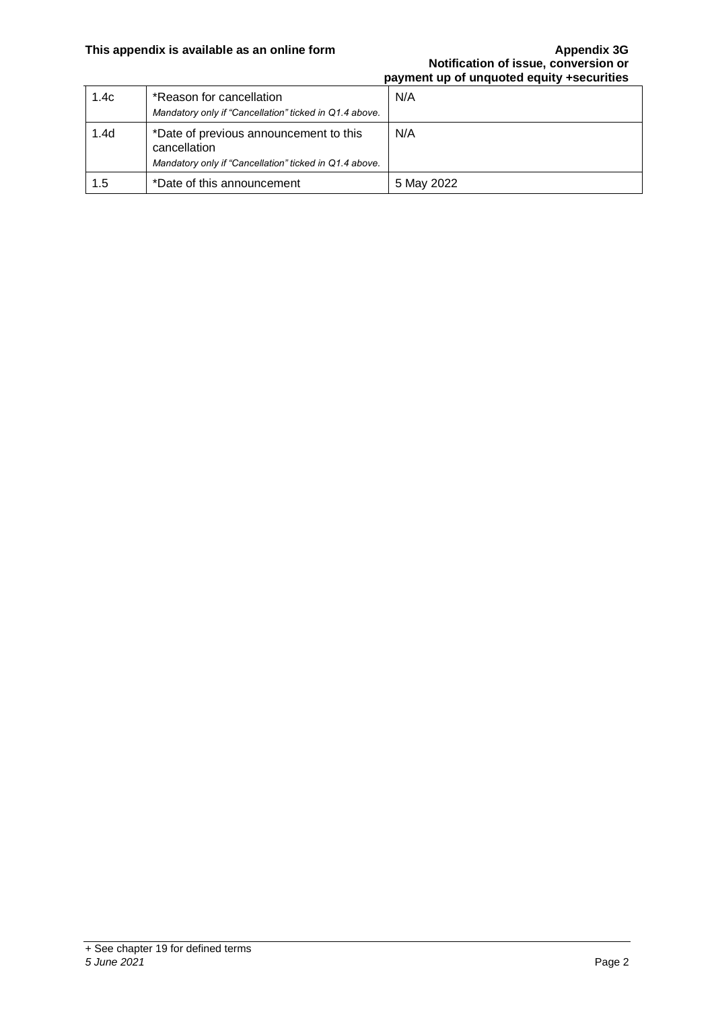#### **This appendix is available as an online form Appendix 3G**

### **Notification of issue, conversion or payment up of unquoted equity +securities**

| 1.4c             | *Reason for cancellation<br>Mandatory only if "Cancellation" ticked in Q1.4 above.                               | N/A        |
|------------------|------------------------------------------------------------------------------------------------------------------|------------|
| 1.4 <sub>d</sub> | *Date of previous announcement to this<br>cancellation<br>Mandatory only if "Cancellation" ticked in Q1.4 above. | N/A        |
| 1.5              | *Date of this announcement                                                                                       | 5 May 2022 |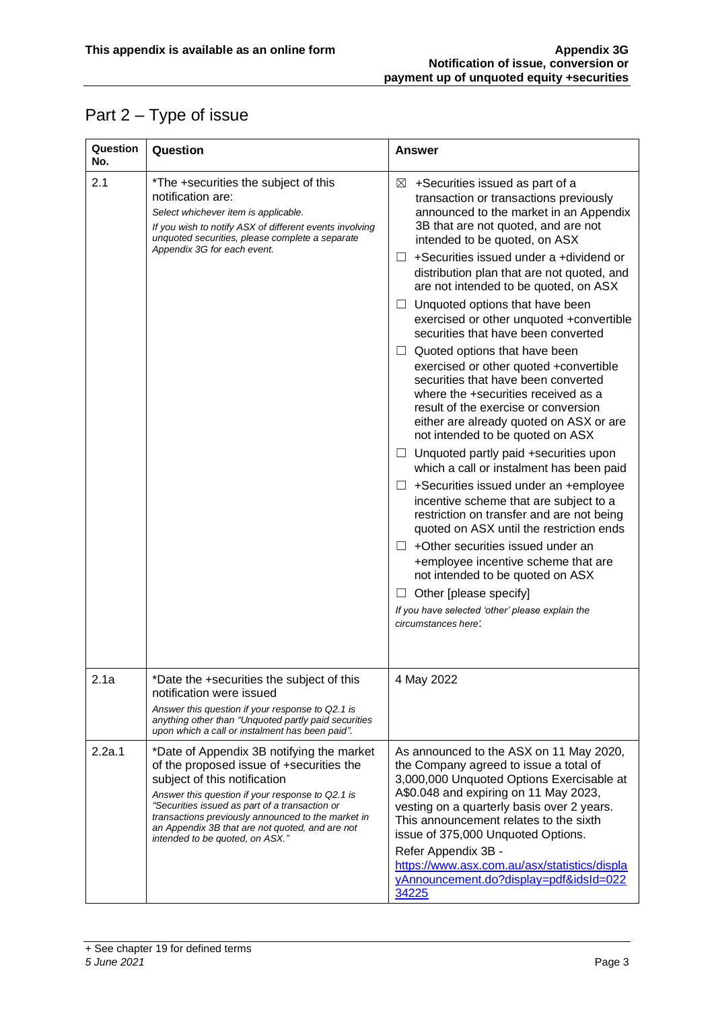## Part 2 – Type of issue

| Question<br>No. | Question                                                                                                                                                                                                                                                                                                                                                                | <b>Answer</b>                                                                                                                                                                                                                                                                                                                                                                                                                                                                                                                                                                                                                                                                                                                                                                                                                                                                                                                                                                                                                                                                                                                                                                                                                                                          |
|-----------------|-------------------------------------------------------------------------------------------------------------------------------------------------------------------------------------------------------------------------------------------------------------------------------------------------------------------------------------------------------------------------|------------------------------------------------------------------------------------------------------------------------------------------------------------------------------------------------------------------------------------------------------------------------------------------------------------------------------------------------------------------------------------------------------------------------------------------------------------------------------------------------------------------------------------------------------------------------------------------------------------------------------------------------------------------------------------------------------------------------------------------------------------------------------------------------------------------------------------------------------------------------------------------------------------------------------------------------------------------------------------------------------------------------------------------------------------------------------------------------------------------------------------------------------------------------------------------------------------------------------------------------------------------------|
| 2.1             | *The +securities the subject of this<br>notification are:<br>Select whichever item is applicable.<br>If you wish to notify ASX of different events involving<br>unquoted securities, please complete a separate<br>Appendix 3G for each event.                                                                                                                          | +Securities issued as part of a<br>⊠<br>transaction or transactions previously<br>announced to the market in an Appendix<br>3B that are not quoted, and are not<br>intended to be quoted, on ASX<br>+Securities issued under a +dividend or<br>ш<br>distribution plan that are not quoted, and<br>are not intended to be quoted, on ASX<br>Unquoted options that have been<br>ப<br>exercised or other unquoted +convertible<br>securities that have been converted<br>$\Box$ Quoted options that have been<br>exercised or other quoted +convertible<br>securities that have been converted<br>where the +securities received as a<br>result of the exercise or conversion<br>either are already quoted on ASX or are<br>not intended to be quoted on ASX<br>$\Box$ Unquoted partly paid +securities upon<br>which a call or instalment has been paid<br>+Securities issued under an +employee<br>⊔<br>incentive scheme that are subject to a<br>restriction on transfer and are not being<br>quoted on ASX until the restriction ends<br>$\Box$ +Other securities issued under an<br>+employee incentive scheme that are<br>not intended to be quoted on ASX<br>Other [please specify]<br>ப<br>If you have selected 'other' please explain the<br>circumstances here: |
| 2.1a            | *Date the +securities the subject of this<br>notification were issued<br>Answer this question if your response to Q2.1 is<br>anything other than "Unquoted partly paid securities<br>upon which a call or instalment has been paid".                                                                                                                                    | 4 May 2022                                                                                                                                                                                                                                                                                                                                                                                                                                                                                                                                                                                                                                                                                                                                                                                                                                                                                                                                                                                                                                                                                                                                                                                                                                                             |
| 2.2a.1          | *Date of Appendix 3B notifying the market<br>of the proposed issue of +securities the<br>subject of this notification<br>Answer this question if your response to Q2.1 is<br>"Securities issued as part of a transaction or<br>transactions previously announced to the market in<br>an Appendix 3B that are not quoted, and are not<br>intended to be quoted, on ASX." | As announced to the ASX on 11 May 2020,<br>the Company agreed to issue a total of<br>3,000,000 Unquoted Options Exercisable at<br>A\$0.048 and expiring on 11 May 2023,<br>vesting on a quarterly basis over 2 years.<br>This announcement relates to the sixth<br>issue of 375,000 Unquoted Options.<br>Refer Appendix 3B -<br>https://www.asx.com.au/asx/statistics/displa<br>yAnnouncement.do?display=pdf&idsId=022<br>34225                                                                                                                                                                                                                                                                                                                                                                                                                                                                                                                                                                                                                                                                                                                                                                                                                                        |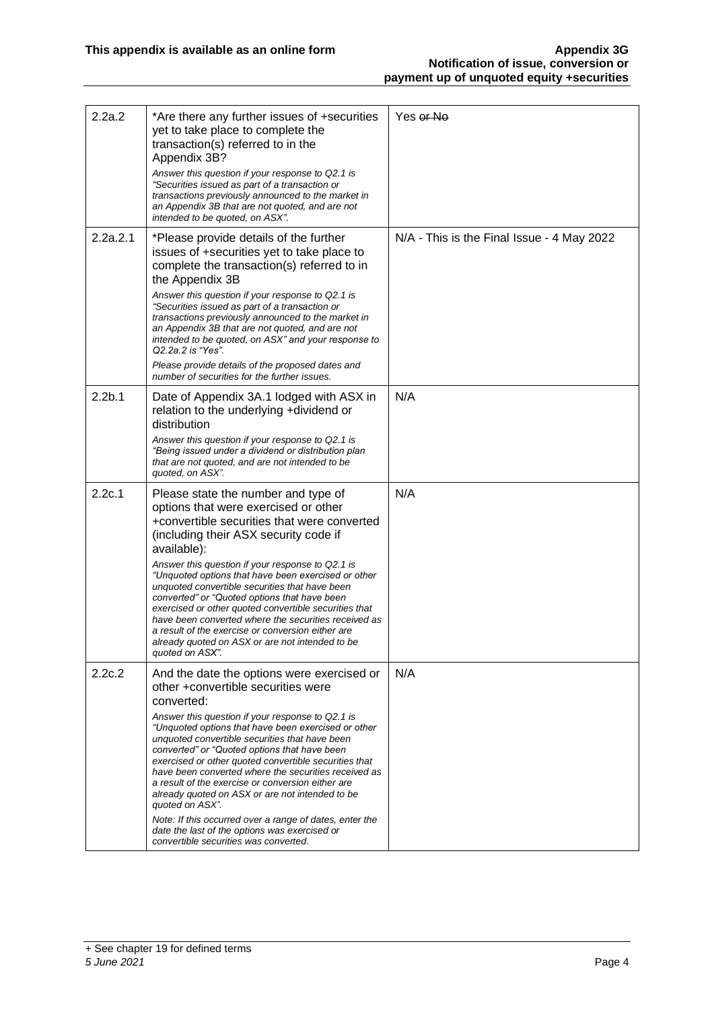| 2.2a.2             | *Are there any further issues of +securities<br>yet to take place to complete the<br>transaction(s) referred to in the<br>Appendix 3B?<br>Answer this question if your response to Q2.1 is                                                                                                                                                                                                                                                            | Yes or No                                  |
|--------------------|-------------------------------------------------------------------------------------------------------------------------------------------------------------------------------------------------------------------------------------------------------------------------------------------------------------------------------------------------------------------------------------------------------------------------------------------------------|--------------------------------------------|
|                    | "Securities issued as part of a transaction or<br>transactions previously announced to the market in<br>an Appendix 3B that are not quoted, and are not<br>intended to be quoted, on ASX".                                                                                                                                                                                                                                                            |                                            |
| 2.2a.2.1           | *Please provide details of the further<br>issues of +securities yet to take place to<br>complete the transaction(s) referred to in<br>the Appendix 3B                                                                                                                                                                                                                                                                                                 | N/A - This is the Final Issue - 4 May 2022 |
|                    | Answer this question if your response to Q2.1 is<br>"Securities issued as part of a transaction or<br>transactions previously announced to the market in<br>an Appendix 3B that are not quoted, and are not<br>intended to be quoted, on ASX" and your response to<br>Q2.2a.2 is "Yes".                                                                                                                                                               |                                            |
|                    | Please provide details of the proposed dates and<br>number of securities for the further issues.                                                                                                                                                                                                                                                                                                                                                      |                                            |
| 2.2 <sub>b.1</sub> | Date of Appendix 3A.1 lodged with ASX in<br>relation to the underlying +dividend or<br>distribution                                                                                                                                                                                                                                                                                                                                                   | N/A                                        |
|                    | Answer this question if your response to Q2.1 is<br>"Being issued under a dividend or distribution plan<br>that are not quoted, and are not intended to be<br>quoted, on ASX".                                                                                                                                                                                                                                                                        |                                            |
| 2.2c.1             | Please state the number and type of<br>options that were exercised or other<br>+convertible securities that were converted<br>(including their ASX security code if<br>available):                                                                                                                                                                                                                                                                    | N/A                                        |
|                    | Answer this question if your response to Q2.1 is<br>"Unquoted options that have been exercised or other<br>unquoted convertible securities that have been<br>converted" or "Quoted options that have been<br>exercised or other quoted convertible securities that<br>have been converted where the securities received as<br>a result of the exercise or conversion either are<br>already quoted on ASX or are not intended to be<br>quoted on ASX". |                                            |
| 2.2c.2             | And the date the options were exercised or<br>other +convertible securities were<br>converted:                                                                                                                                                                                                                                                                                                                                                        | N/A                                        |
|                    | Answer this question if your response to Q2.1 is<br>"Unquoted options that have been exercised or other<br>unquoted convertible securities that have been<br>converted" or "Quoted options that have been<br>exercised or other quoted convertible securities that<br>have been converted where the securities received as<br>a result of the exercise or conversion either are<br>already quoted on ASX or are not intended to be<br>quoted on ASX". |                                            |
|                    | Note: If this occurred over a range of dates, enter the<br>date the last of the options was exercised or<br>convertible securities was converted.                                                                                                                                                                                                                                                                                                     |                                            |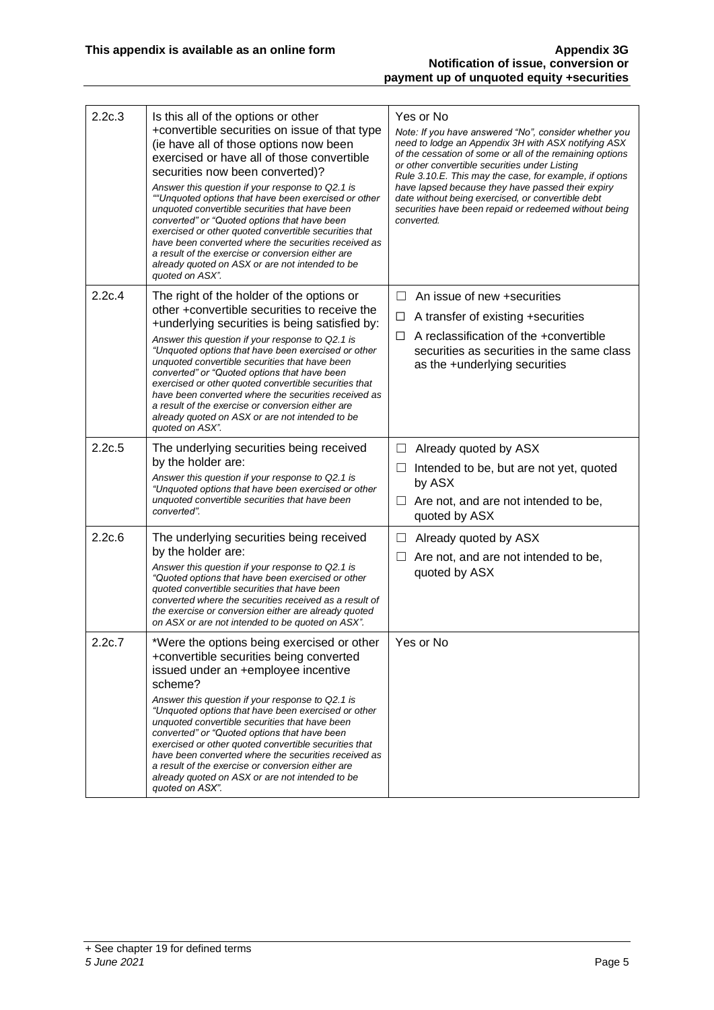| 2.2c.3 | Is this all of the options or other<br>+convertible securities on issue of that type<br>(ie have all of those options now been<br>exercised or have all of those convertible<br>securities now been converted)?<br>Answer this question if your response to Q2.1 is<br>""Unquoted options that have been exercised or other<br>unquoted convertible securities that have been<br>converted" or "Quoted options that have been<br>exercised or other quoted convertible securities that<br>have been converted where the securities received as<br>a result of the exercise or conversion either are<br>already quoted on ASX or are not intended to be<br>quoted on ASX". | Yes or No<br>Note: If you have answered "No", consider whether you<br>need to lodge an Appendix 3H with ASX notifying ASX<br>of the cessation of some or all of the remaining options<br>or other convertible securities under Listing<br>Rule 3.10.E. This may the case, for example, if options<br>have lapsed because they have passed their expiry<br>date without being exercised, or convertible debt<br>securities have been repaid or redeemed without being<br>converted. |
|--------|---------------------------------------------------------------------------------------------------------------------------------------------------------------------------------------------------------------------------------------------------------------------------------------------------------------------------------------------------------------------------------------------------------------------------------------------------------------------------------------------------------------------------------------------------------------------------------------------------------------------------------------------------------------------------|------------------------------------------------------------------------------------------------------------------------------------------------------------------------------------------------------------------------------------------------------------------------------------------------------------------------------------------------------------------------------------------------------------------------------------------------------------------------------------|
| 2.2c.4 | The right of the holder of the options or<br>other +convertible securities to receive the<br>+underlying securities is being satisfied by:<br>Answer this question if your response to Q2.1 is<br>"Unquoted options that have been exercised or other<br>unquoted convertible securities that have been<br>converted" or "Quoted options that have been<br>exercised or other quoted convertible securities that<br>have been converted where the securities received as<br>a result of the exercise or conversion either are<br>already quoted on ASX or are not intended to be<br>quoted on ASX".                                                                       | An issue of new +securities<br>$\Box$<br>A transfer of existing +securities<br>ப<br>A reclassification of the +convertible<br>□<br>securities as securities in the same class<br>as the +underlying securities                                                                                                                                                                                                                                                                     |
| 2.2c.5 | The underlying securities being received<br>by the holder are:<br>Answer this question if your response to Q2.1 is<br>"Unquoted options that have been exercised or other<br>unquoted convertible securities that have been<br>converted".                                                                                                                                                                                                                                                                                                                                                                                                                                | Already quoted by ASX<br>ப<br>Intended to be, but are not yet, quoted<br>ப<br>by ASX<br>Are not, and are not intended to be,<br>Ш<br>quoted by ASX                                                                                                                                                                                                                                                                                                                                 |
| 2.2c.6 | The underlying securities being received<br>by the holder are:<br>Answer this question if your response to Q2.1 is<br>"Quoted options that have been exercised or other<br>quoted convertible securities that have been<br>converted where the securities received as a result of<br>the exercise or conversion either are already quoted<br>on ASX or are not intended to be quoted on ASX".                                                                                                                                                                                                                                                                             | Already quoted by ASX<br>⊔<br>Are not, and are not intended to be,<br>quoted by ASX                                                                                                                                                                                                                                                                                                                                                                                                |
| 2.2c.7 | *Were the options being exercised or other<br>+convertible securities being converted<br>issued under an +employee incentive<br>scheme?<br>Answer this question if your response to Q2.1 is<br>"Unquoted options that have been exercised or other<br>unquoted convertible securities that have been<br>converted" or "Quoted options that have been<br>exercised or other quoted convertible securities that<br>have been converted where the securities received as<br>a result of the exercise or conversion either are<br>already quoted on ASX or are not intended to be<br>quoted on ASX".                                                                          | Yes or No                                                                                                                                                                                                                                                                                                                                                                                                                                                                          |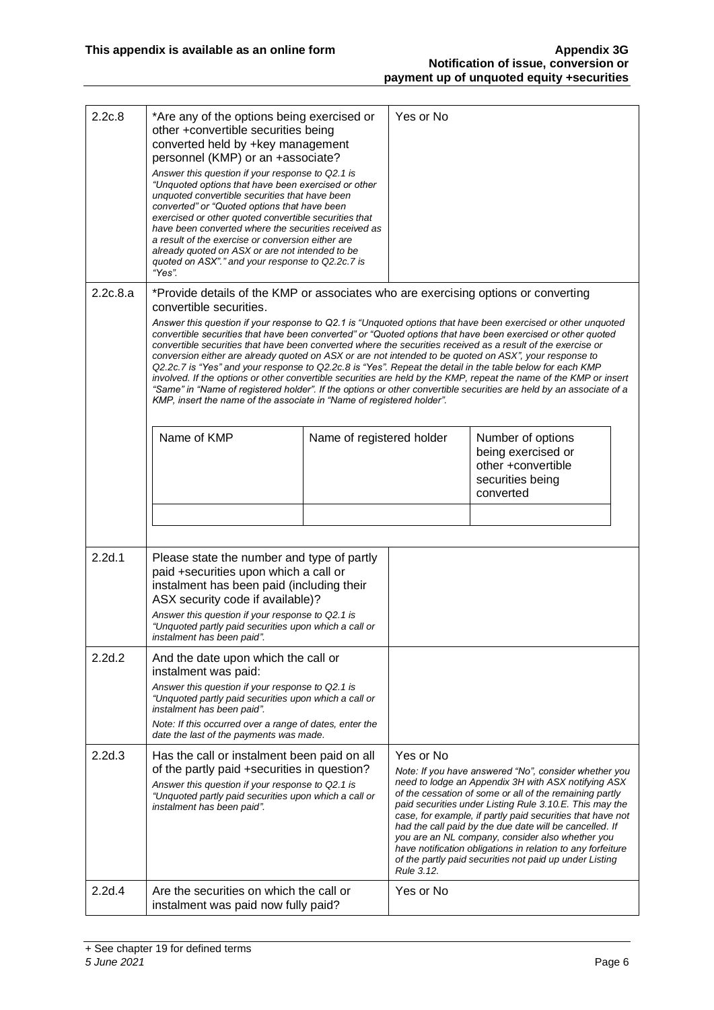| 2.2c.8   | *Are any of the options being exercised or<br>other +convertible securities being<br>converted held by +key management<br>personnel (KMP) or an +associate?<br>Answer this question if your response to Q2.1 is<br>"Unquoted options that have been exercised or other<br>unquoted convertible securities that have been<br>converted" or "Quoted options that have been<br>exercised or other quoted convertible securities that<br>have been converted where the securities received as<br>a result of the exercise or conversion either are<br>already quoted on ASX or are not intended to be<br>quoted on ASX"." and your response to Q2.2c.7 is<br>"Yes".                                                                                                                                                                                                                                                                                                                                             |                           | Yes or No               |                                                                                                                                                                                                                                                                                                                                                                                                                                                                                                                                           |
|----------|-------------------------------------------------------------------------------------------------------------------------------------------------------------------------------------------------------------------------------------------------------------------------------------------------------------------------------------------------------------------------------------------------------------------------------------------------------------------------------------------------------------------------------------------------------------------------------------------------------------------------------------------------------------------------------------------------------------------------------------------------------------------------------------------------------------------------------------------------------------------------------------------------------------------------------------------------------------------------------------------------------------|---------------------------|-------------------------|-------------------------------------------------------------------------------------------------------------------------------------------------------------------------------------------------------------------------------------------------------------------------------------------------------------------------------------------------------------------------------------------------------------------------------------------------------------------------------------------------------------------------------------------|
| 2.2c.8.a | *Provide details of the KMP or associates who are exercising options or converting<br>convertible securities.<br>Answer this question if your response to Q2.1 is "Unquoted options that have been exercised or other unquoted<br>convertible securities that have been converted" or "Quoted options that have been exercised or other quoted<br>convertible securities that have been converted where the securities received as a result of the exercise or<br>conversion either are already quoted on ASX or are not intended to be quoted on ASX", your response to<br>Q2.2c.7 is "Yes" and your response to Q2.2c.8 is "Yes". Repeat the detail in the table below for each KMP<br>involved. If the options or other convertible securities are held by the KMP, repeat the name of the KMP or insert<br>"Same" in "Name of registered holder". If the options or other convertible securities are held by an associate of a<br>KMP, insert the name of the associate in "Name of registered holder". |                           |                         |                                                                                                                                                                                                                                                                                                                                                                                                                                                                                                                                           |
|          | Name of KMP                                                                                                                                                                                                                                                                                                                                                                                                                                                                                                                                                                                                                                                                                                                                                                                                                                                                                                                                                                                                 | Name of registered holder |                         | Number of options<br>being exercised or<br>other +convertible<br>securities being<br>converted                                                                                                                                                                                                                                                                                                                                                                                                                                            |
| 2.2d.1   | Please state the number and type of partly<br>paid +securities upon which a call or<br>instalment has been paid (including their<br>ASX security code if available)?<br>Answer this question if your response to Q2.1 is<br>"Unquoted partly paid securities upon which a call or<br>instalment has been paid".                                                                                                                                                                                                                                                                                                                                                                                                                                                                                                                                                                                                                                                                                             |                           |                         |                                                                                                                                                                                                                                                                                                                                                                                                                                                                                                                                           |
| 2.2d.2   | And the date upon which the call or<br>instalment was paid:<br>Answer this question if your response to Q2.1 is<br>"Unquoted partly paid securities upon which a call or<br>instalment has been paid".<br>Note: If this occurred over a range of dates, enter the<br>date the last of the payments was made.                                                                                                                                                                                                                                                                                                                                                                                                                                                                                                                                                                                                                                                                                                |                           |                         |                                                                                                                                                                                                                                                                                                                                                                                                                                                                                                                                           |
| 2.2d.3   | Has the call or instalment been paid on all<br>of the partly paid +securities in question?<br>Answer this question if your response to Q2.1 is<br>"Unquoted partly paid securities upon which a call or<br>instalment has been paid".                                                                                                                                                                                                                                                                                                                                                                                                                                                                                                                                                                                                                                                                                                                                                                       |                           | Yes or No<br>Rule 3.12. | Note: If you have answered "No", consider whether you<br>need to lodge an Appendix 3H with ASX notifying ASX<br>of the cessation of some or all of the remaining partly<br>paid securities under Listing Rule 3.10.E. This may the<br>case, for example, if partly paid securities that have not<br>had the call paid by the due date will be cancelled. If<br>you are an NL company, consider also whether you<br>have notification obligations in relation to any forfeiture<br>of the partly paid securities not paid up under Listing |
| 2.2d.4   | Are the securities on which the call or<br>instalment was paid now fully paid?                                                                                                                                                                                                                                                                                                                                                                                                                                                                                                                                                                                                                                                                                                                                                                                                                                                                                                                              |                           | Yes or No               |                                                                                                                                                                                                                                                                                                                                                                                                                                                                                                                                           |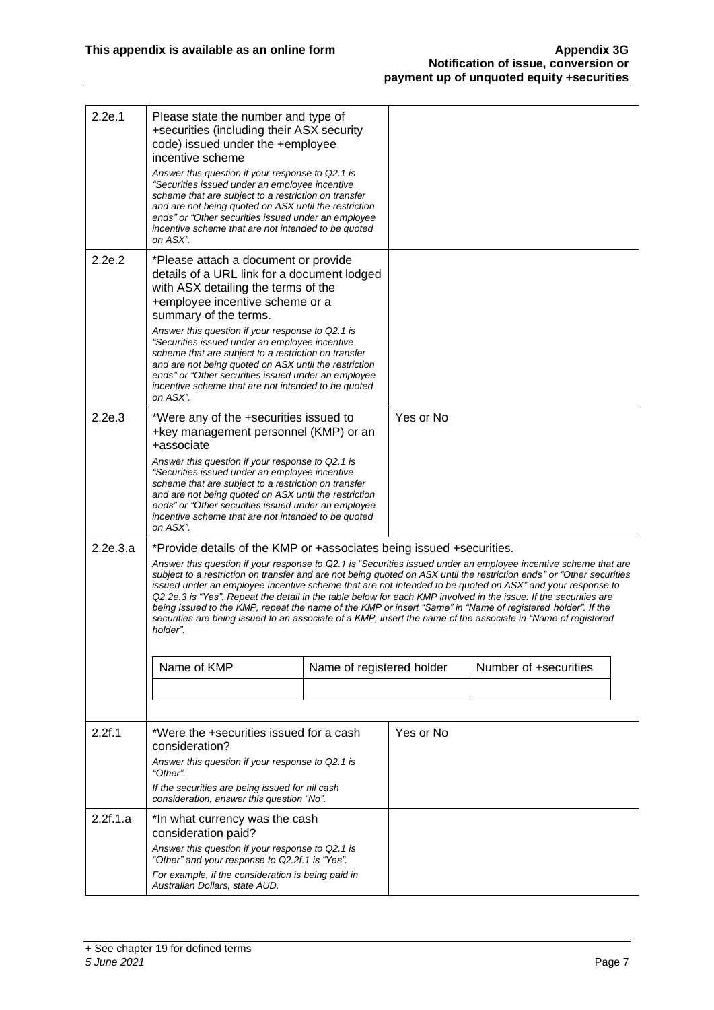| 2.2e.1   | Please state the number and type of<br>+securities (including their ASX security<br>code) issued under the +employee<br>incentive scheme<br>Answer this question if your response to Q2.1 is<br>"Securities issued under an employee incentive<br>scheme that are subject to a restriction on transfer<br>and are not being quoted on ASX until the restriction<br>ends" or "Other securities issued under an employee<br>incentive scheme that are not intended to be quoted<br>on ASX".                                                                                                                                                                                                                                                                                                                                                 |  |           |                       |  |
|----------|-------------------------------------------------------------------------------------------------------------------------------------------------------------------------------------------------------------------------------------------------------------------------------------------------------------------------------------------------------------------------------------------------------------------------------------------------------------------------------------------------------------------------------------------------------------------------------------------------------------------------------------------------------------------------------------------------------------------------------------------------------------------------------------------------------------------------------------------|--|-----------|-----------------------|--|
| 2.2e.2   | *Please attach a document or provide<br>details of a URL link for a document lodged<br>with ASX detailing the terms of the<br>+employee incentive scheme or a<br>summary of the terms.<br>Answer this question if your response to Q2.1 is<br>"Securities issued under an employee incentive<br>scheme that are subject to a restriction on transfer<br>and are not being quoted on ASX until the restriction<br>ends" or "Other securities issued under an employee<br>incentive scheme that are not intended to be quoted<br>on ASX".                                                                                                                                                                                                                                                                                                   |  |           |                       |  |
| 2.2e.3   | *Were any of the +securities issued to<br>+key management personnel (KMP) or an<br>+associate<br>Answer this question if your response to Q2.1 is<br>"Securities issued under an employee incentive<br>scheme that are subject to a restriction on transfer<br>and are not being quoted on ASX until the restriction<br>ends" or "Other securities issued under an employee<br>incentive scheme that are not intended to be quoted<br>on ASX".                                                                                                                                                                                                                                                                                                                                                                                            |  | Yes or No |                       |  |
| 2.2e.3.a | *Provide details of the KMP or +associates being issued +securities.<br>Answer this question if your response to Q2.1 is "Securities issued under an employee incentive scheme that are<br>subject to a restriction on transfer and are not being quoted on ASX until the restriction ends" or "Other securities<br>issued under an employee incentive scheme that are not intended to be quoted on ASX" and your response to<br>Q2.2e.3 is "Yes". Repeat the detail in the table below for each KMP involved in the issue. If the securities are<br>being issued to the KMP, repeat the name of the KMP or insert "Same" in "Name of registered holder". If the<br>securities are being issued to an associate of a KMP, insert the name of the associate in "Name of registered<br>holder".<br>Name of KMP<br>Name of registered holder |  |           | Number of +securities |  |
|          |                                                                                                                                                                                                                                                                                                                                                                                                                                                                                                                                                                                                                                                                                                                                                                                                                                           |  |           |                       |  |
| 2.2f.1   | *Were the +securities issued for a cash<br>consideration?<br>Answer this question if your response to Q2.1 is<br>"Other".<br>If the securities are being issued for nil cash<br>consideration, answer this question "No".                                                                                                                                                                                                                                                                                                                                                                                                                                                                                                                                                                                                                 |  | Yes or No |                       |  |
| 2.2f.1.a | *In what currency was the cash<br>consideration paid?<br>Answer this question if your response to Q2.1 is<br>"Other" and your response to Q2.2f.1 is "Yes".<br>For example, if the consideration is being paid in<br>Australian Dollars, state AUD.                                                                                                                                                                                                                                                                                                                                                                                                                                                                                                                                                                                       |  |           |                       |  |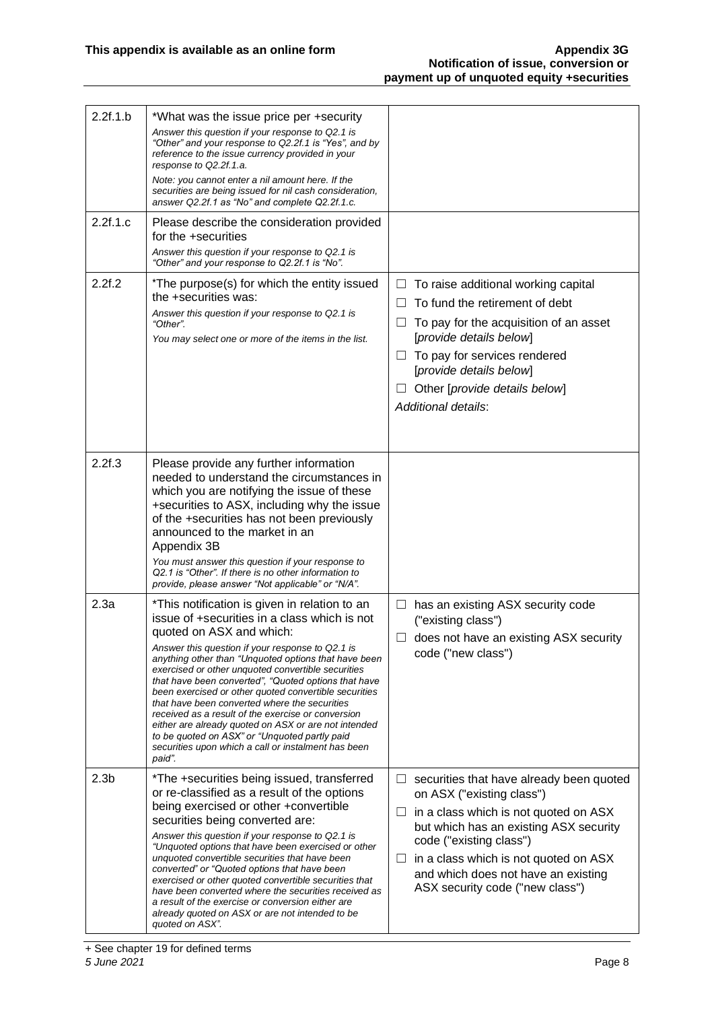| 2.2f.1.b         | *What was the issue price per +security<br>Answer this question if your response to Q2.1 is<br>"Other" and your response to Q2.2f.1 is "Yes", and by<br>reference to the issue currency provided in your<br>response to Q2.2f.1.a.<br>Note: you cannot enter a nil amount here. If the<br>securities are being issued for nil cash consideration,<br>answer Q2.2f.1 as "No" and complete Q2.2f.1.c.                                                                                                                                                                                                                                                                                           |                                                                                                                                                                                                                                                                                                                       |
|------------------|-----------------------------------------------------------------------------------------------------------------------------------------------------------------------------------------------------------------------------------------------------------------------------------------------------------------------------------------------------------------------------------------------------------------------------------------------------------------------------------------------------------------------------------------------------------------------------------------------------------------------------------------------------------------------------------------------|-----------------------------------------------------------------------------------------------------------------------------------------------------------------------------------------------------------------------------------------------------------------------------------------------------------------------|
| 2.2f.1.c         | Please describe the consideration provided<br>for the +securities<br>Answer this question if your response to Q2.1 is<br>"Other" and your response to Q2.2f.1 is "No".                                                                                                                                                                                                                                                                                                                                                                                                                                                                                                                        |                                                                                                                                                                                                                                                                                                                       |
| 2.2f.2           | *The purpose(s) for which the entity issued<br>the +securities was:<br>Answer this question if your response to Q2.1 is<br>"Other".<br>You may select one or more of the items in the list.                                                                                                                                                                                                                                                                                                                                                                                                                                                                                                   | To raise additional working capital<br>⊔<br>To fund the retirement of debt<br>$\perp$<br>To pay for the acquisition of an asset<br>ப<br>[provide details below]<br>To pay for services rendered<br>$\Box$<br>[provide details below]<br>Other [provide details below]<br>ш<br><b>Additional details:</b>              |
| 2.2f.3           | Please provide any further information<br>needed to understand the circumstances in<br>which you are notifying the issue of these<br>+securities to ASX, including why the issue<br>of the +securities has not been previously<br>announced to the market in an<br>Appendix 3B<br>You must answer this question if your response to<br>Q2.1 is "Other". If there is no other information to<br>provide, please answer "Not applicable" or "N/A".                                                                                                                                                                                                                                              |                                                                                                                                                                                                                                                                                                                       |
| 2.3a             | *This notification is given in relation to an<br>issue of +securities in a class which is not<br>quoted on ASX and which:<br>Answer this question if your response to Q2.1 is<br>anything other than "Unquoted options that have been<br>exercised or other unquoted convertible securities<br>that have been converted", "Quoted options that have<br>been exercised or other quoted convertible securities<br>that have been converted where the securities<br>received as a result of the exercise or conversion<br>either are already quoted on ASX or are not intended<br>to be quoted on ASX" or "Unquoted partly paid<br>securities upon which a call or instalment has been<br>paid". | $\Box$ has an existing ASX security code<br>("existing class")<br>$\Box$ does not have an existing ASX security<br>code ("new class")                                                                                                                                                                                 |
| 2.3 <sub>b</sub> | *The +securities being issued, transferred<br>or re-classified as a result of the options<br>being exercised or other +convertible<br>securities being converted are:<br>Answer this question if your response to Q2.1 is<br>"Unquoted options that have been exercised or other<br>unquoted convertible securities that have been<br>converted" or "Quoted options that have been<br>exercised or other quoted convertible securities that<br>have been converted where the securities received as<br>a result of the exercise or conversion either are<br>already quoted on ASX or are not intended to be<br>quoted on ASX".                                                                | securities that have already been quoted<br>ப<br>on ASX ("existing class")<br>in a class which is not quoted on ASX<br>⊔<br>but which has an existing ASX security<br>code ("existing class")<br>in a class which is not quoted on ASX<br>ப<br>and which does not have an existing<br>ASX security code ("new class") |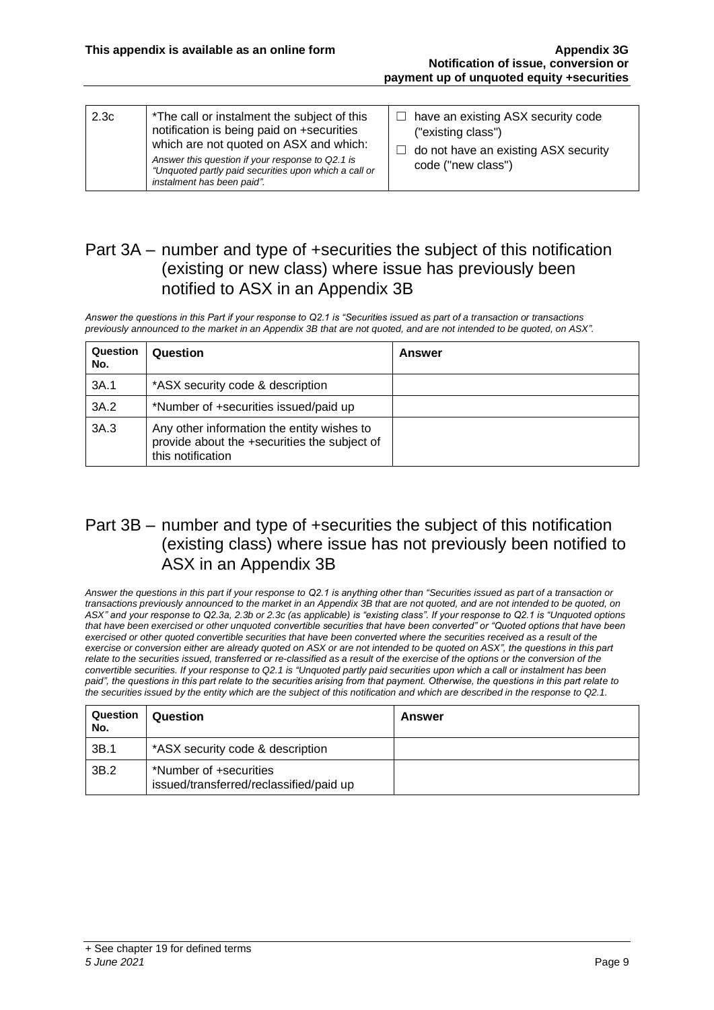| 2.3 <sub>c</sub><br>*The call or instalment the subject of this<br>notification is being paid on +securities<br>which are not quoted on ASX and which:<br>Answer this question if your response to Q2.1 is<br>"Unquoted partly paid securities upon which a call or<br>instalment has been paid". | $\Box$ have an existing ASX security code<br>("existing class")<br>do not have an existing ASX security<br>$\Box$<br>code ("new class") |
|---------------------------------------------------------------------------------------------------------------------------------------------------------------------------------------------------------------------------------------------------------------------------------------------------|-----------------------------------------------------------------------------------------------------------------------------------------|
|---------------------------------------------------------------------------------------------------------------------------------------------------------------------------------------------------------------------------------------------------------------------------------------------------|-----------------------------------------------------------------------------------------------------------------------------------------|

#### Part 3A – number and type of +securities the subject of this notification (existing or new class) where issue has previously been notified to ASX in an Appendix 3B

*Answer the questions in this Part if your response to Q2.1 is "Securities issued as part of a transaction or transactions previously announced to the market in an Appendix 3B that are not quoted, and are not intended to be quoted, on ASX".*

| Question<br>No. | Question                                                                                                        | <b>Answer</b> |
|-----------------|-----------------------------------------------------------------------------------------------------------------|---------------|
| 3A.1            | *ASX security code & description                                                                                |               |
| 3A.2            | *Number of +securities issued/paid up                                                                           |               |
| 3A.3            | Any other information the entity wishes to<br>provide about the +securities the subject of<br>this notification |               |

#### Part 3B – number and type of +securities the subject of this notification (existing class) where issue has not previously been notified to ASX in an Appendix 3B

*Answer the questions in this part if your response to Q2.1 is anything other than "Securities issued as part of a transaction or transactions previously announced to the market in an Appendix 3B that are not quoted, and are not intended to be quoted, on ASX" and your response to Q2.3a, 2.3b or 2.3c (as applicable) is "existing class". If your response to Q2.1 is "Unquoted options that have been exercised or other unquoted convertible securities that have been converted" or "Quoted options that have been exercised or other quoted convertible securities that have been converted where the securities received as a result of the exercise or conversion either are already quoted on ASX or are not intended to be quoted on ASX", the questions in this part relate to the securities issued, transferred or re-classified as a result of the exercise of the options or the conversion of the convertible securities. If your response to Q2.1 is "Unquoted partly paid securities upon which a call or instalment has been paid", the questions in this part relate to the securities arising from that payment. Otherwise, the questions in this part relate to the securities issued by the entity which are the subject of this notification and which are described in the response to Q2.1.*

| Question<br>No. | Question                                                          | <b>Answer</b> |
|-----------------|-------------------------------------------------------------------|---------------|
| 3B.1            | *ASX security code & description                                  |               |
| 3B.2            | *Number of +securities<br>issued/transferred/reclassified/paid up |               |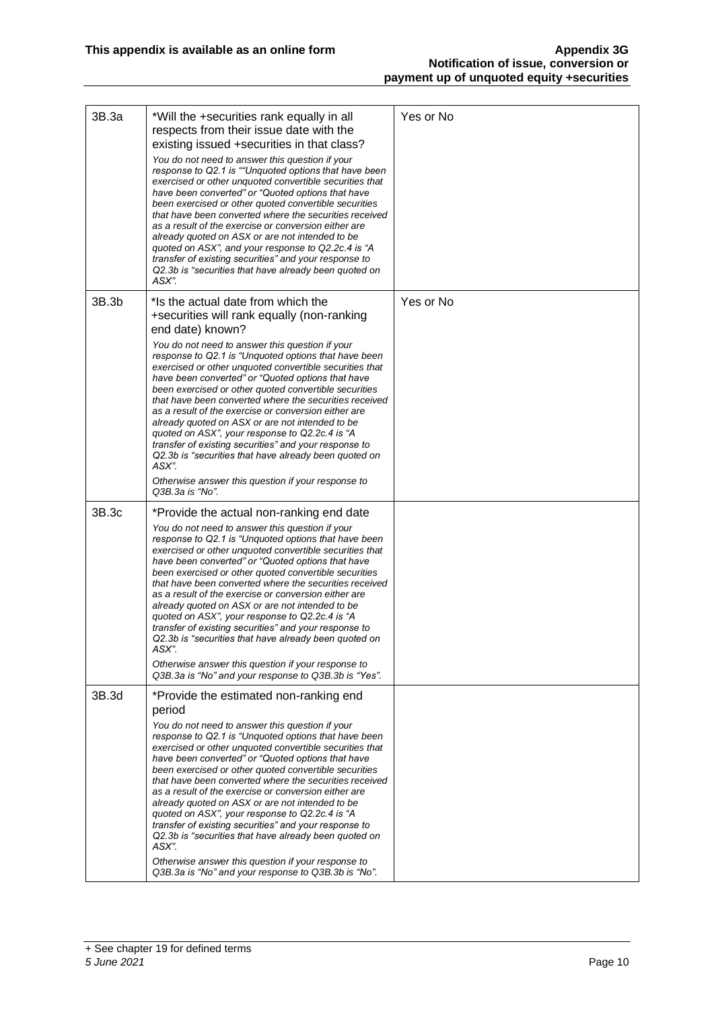| 3B.3a | *Will the +securities rank equally in all<br>respects from their issue date with the<br>existing issued +securities in that class?<br>You do not need to answer this question if your<br>response to Q2.1 is ""Unquoted options that have been<br>exercised or other unquoted convertible securities that<br>have been converted" or "Quoted options that have<br>been exercised or other quoted convertible securities<br>that have been converted where the securities received<br>as a result of the exercise or conversion either are<br>already quoted on ASX or are not intended to be<br>quoted on ASX", and your response to Q2.2c.4 is "A<br>transfer of existing securities" and your response to<br>Q2.3b is "securities that have already been quoted on<br>ASX".                                       | Yes or No |
|-------|---------------------------------------------------------------------------------------------------------------------------------------------------------------------------------------------------------------------------------------------------------------------------------------------------------------------------------------------------------------------------------------------------------------------------------------------------------------------------------------------------------------------------------------------------------------------------------------------------------------------------------------------------------------------------------------------------------------------------------------------------------------------------------------------------------------------|-----------|
| 3B.3b | *Is the actual date from which the<br>+securities will rank equally (non-ranking<br>end date) known?<br>You do not need to answer this question if your<br>response to Q2.1 is "Unguoted options that have been<br>exercised or other unquoted convertible securities that<br>have been converted" or "Quoted options that have<br>been exercised or other quoted convertible securities<br>that have been converted where the securities received<br>as a result of the exercise or conversion either are<br>already quoted on ASX or are not intended to be<br>quoted on ASX", your response to Q2.2c.4 is "A<br>transfer of existing securities" and your response to<br>Q2.3b is "securities that have already been quoted on<br>ASX".<br>Otherwise answer this question if your response to<br>Q3B.3a is "No". | Yes or No |
| 3B.3c | *Provide the actual non-ranking end date<br>You do not need to answer this question if your<br>response to Q2.1 is "Unquoted options that have been<br>exercised or other unquoted convertible securities that<br>have been converted" or "Quoted options that have<br>been exercised or other quoted convertible securities<br>that have been converted where the securities received<br>as a result of the exercise or conversion either are<br>already quoted on ASX or are not intended to be<br>quoted on ASX", your response to Q2.2c.4 is "A<br>transfer of existing securities" and your response to<br>Q2.3b is "securities that have already been quoted on<br>ASX".<br>Otherwise answer this question if your response to<br>Q3B.3a is "No" and your response to Q3B.3b is "Yes".                        |           |
| 3B.3d | *Provide the estimated non-ranking end<br>period<br>You do not need to answer this question if your<br>response to Q2.1 is "Unquoted options that have been<br>exercised or other unquoted convertible securities that<br>have been converted" or "Quoted options that have<br>been exercised or other quoted convertible securities<br>that have been converted where the securities received<br>as a result of the exercise or conversion either are<br>already quoted on ASX or are not intended to be<br>quoted on ASX", your response to Q2.2c.4 is "A<br>transfer of existing securities" and your response to<br>Q2.3b is "securities that have already been quoted on<br>ASX"<br>Otherwise answer this question if your response to<br>Q3B.3a is "No" and your response to Q3B.3b is "No".                  |           |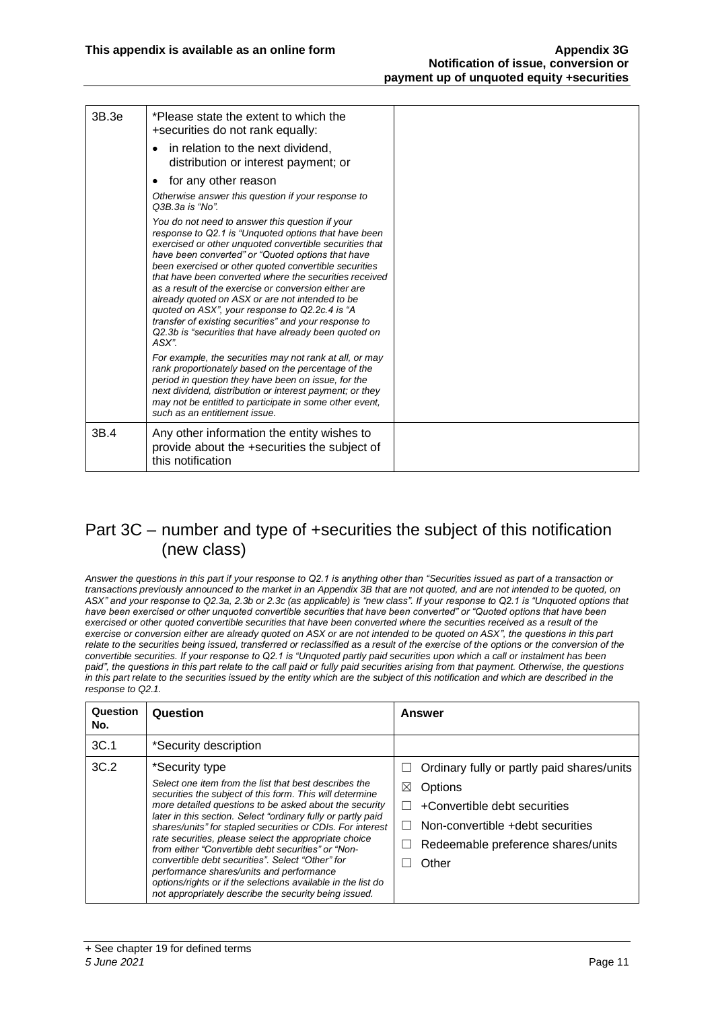| 3B.3e | *Please state the extent to which the<br>+securities do not rank equally:<br>in relation to the next dividend,<br>distribution or interest payment; or                                                                                                                                                                                                                                                                                                                                                                                                                                                                             |  |
|-------|------------------------------------------------------------------------------------------------------------------------------------------------------------------------------------------------------------------------------------------------------------------------------------------------------------------------------------------------------------------------------------------------------------------------------------------------------------------------------------------------------------------------------------------------------------------------------------------------------------------------------------|--|
|       | for any other reason                                                                                                                                                                                                                                                                                                                                                                                                                                                                                                                                                                                                               |  |
|       | Otherwise answer this question if your response to<br>Q3B.3a is "No".                                                                                                                                                                                                                                                                                                                                                                                                                                                                                                                                                              |  |
|       | You do not need to answer this question if your<br>response to Q2.1 is "Unquoted options that have been<br>exercised or other unquoted convertible securities that<br>have been converted" or "Quoted options that have<br>been exercised or other quoted convertible securities<br>that have been converted where the securities received<br>as a result of the exercise or conversion either are<br>already quoted on ASX or are not intended to be<br>quoted on ASX", your response to Q2.2c.4 is "A<br>transfer of existing securities" and your response to<br>Q2.3b is "securities that have already been quoted on<br>ASX". |  |
|       | For example, the securities may not rank at all, or may<br>rank proportionately based on the percentage of the<br>period in question they have been on issue, for the<br>next dividend, distribution or interest payment; or they<br>may not be entitled to participate in some other event,<br>such as an entitlement issue.                                                                                                                                                                                                                                                                                                      |  |
| 3B.4  | Any other information the entity wishes to<br>provide about the +securities the subject of<br>this notification                                                                                                                                                                                                                                                                                                                                                                                                                                                                                                                    |  |

#### Part 3C – number and type of +securities the subject of this notification (new class)

*Answer the questions in this part if your response to Q2.1 is anything other than "Securities issued as part of a transaction or transactions previously announced to the market in an Appendix 3B that are not quoted, and are not intended to be quoted, on ASX" and your response to Q2.3a, 2.3b or 2.3c (as applicable) is "new class". If your response to Q2.1 is "Unquoted options that have been exercised or other unquoted convertible securities that have been converted" or "Quoted options that have been exercised or other quoted convertible securities that have been converted where the securities received as a result of the exercise or conversion either are already quoted on ASX or are not intended to be quoted on ASX", the questions in this part*  relate to the securities being issued, transferred or reclassified as a result of the exercise of the options or the conversion of the *convertible securities. If your response to Q2.1 is "Unquoted partly paid securities upon which a call or instalment has been paid", the questions in this part relate to the call paid or fully paid securities arising from that payment. Otherwise, the questions in this part relate to the securities issued by the entity which are the subject of this notification and which are described in the response to Q2.1.*

| Question<br>No. | Question                                                                                                                                                                                                                                                                                                                                                                                                                                                                                                                                                                                                                                                            | Answer                                                                                                                                                                                                                             |
|-----------------|---------------------------------------------------------------------------------------------------------------------------------------------------------------------------------------------------------------------------------------------------------------------------------------------------------------------------------------------------------------------------------------------------------------------------------------------------------------------------------------------------------------------------------------------------------------------------------------------------------------------------------------------------------------------|------------------------------------------------------------------------------------------------------------------------------------------------------------------------------------------------------------------------------------|
| 3C.1            | *Security description                                                                                                                                                                                                                                                                                                                                                                                                                                                                                                                                                                                                                                               |                                                                                                                                                                                                                                    |
| 3C.2            | *Security type<br>Select one item from the list that best describes the<br>securities the subject of this form. This will determine<br>more detailed questions to be asked about the security<br>later in this section. Select "ordinary fully or partly paid<br>shares/units" for stapled securities or CDIs. For interest<br>rate securities, please select the appropriate choice<br>from either "Convertible debt securities" or "Non-<br>convertible debt securities". Select "Other" for<br>performance shares/units and performance<br>options/rights or if the selections available in the list do<br>not appropriately describe the security being issued. | Ordinary fully or partly paid shares/units<br>$\perp$<br>Options<br>⋈<br>+Convertible debt securities<br>$\perp$<br>Non-convertible +debt securities<br>$\Box$<br>Redeemable preference shares/units<br>$\vert \ \ \vert$<br>Other |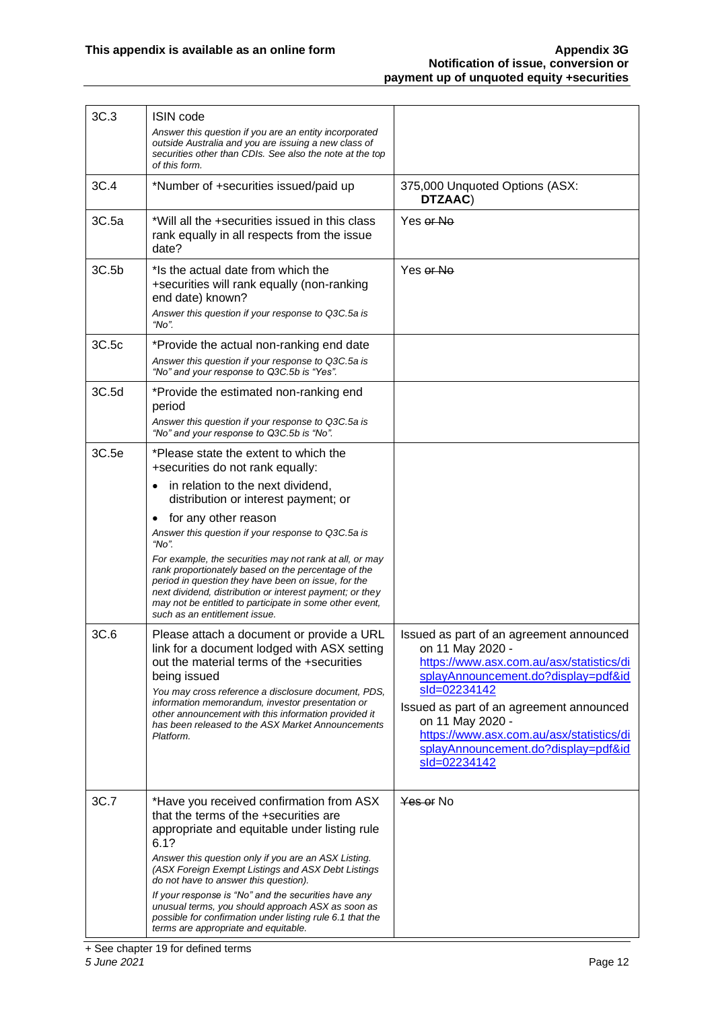| 3C.3  | <b>ISIN</b> code                                                                                                                                                                                                                                                                                                                                                                                                                                                                                                   |                                                                                                                                                                                                                                                                                                                                    |
|-------|--------------------------------------------------------------------------------------------------------------------------------------------------------------------------------------------------------------------------------------------------------------------------------------------------------------------------------------------------------------------------------------------------------------------------------------------------------------------------------------------------------------------|------------------------------------------------------------------------------------------------------------------------------------------------------------------------------------------------------------------------------------------------------------------------------------------------------------------------------------|
|       | Answer this question if you are an entity incorporated<br>outside Australia and you are issuing a new class of<br>securities other than CDIs. See also the note at the top<br>of this form.                                                                                                                                                                                                                                                                                                                        |                                                                                                                                                                                                                                                                                                                                    |
| 3C.4  | *Number of +securities issued/paid up                                                                                                                                                                                                                                                                                                                                                                                                                                                                              | 375,000 Unquoted Options (ASX:<br>DTZAAC)                                                                                                                                                                                                                                                                                          |
| 3C.5a | *Will all the +securities issued in this class<br>rank equally in all respects from the issue<br>date?                                                                                                                                                                                                                                                                                                                                                                                                             | Yes or No                                                                                                                                                                                                                                                                                                                          |
| 3C.5b | *Is the actual date from which the<br>+securities will rank equally (non-ranking<br>end date) known?<br>Answer this question if your response to Q3C.5a is<br>"No".                                                                                                                                                                                                                                                                                                                                                | Yes or No                                                                                                                                                                                                                                                                                                                          |
| 3C.5c | *Provide the actual non-ranking end date<br>Answer this question if your response to Q3C.5a is<br>"No" and your response to Q3C.5b is "Yes".                                                                                                                                                                                                                                                                                                                                                                       |                                                                                                                                                                                                                                                                                                                                    |
| 3C.5d | *Provide the estimated non-ranking end<br>period<br>Answer this question if your response to Q3C.5a is<br>"No" and your response to Q3C.5b is "No".                                                                                                                                                                                                                                                                                                                                                                |                                                                                                                                                                                                                                                                                                                                    |
| 3C.5e | *Please state the extent to which the<br>+securities do not rank equally:                                                                                                                                                                                                                                                                                                                                                                                                                                          |                                                                                                                                                                                                                                                                                                                                    |
|       | in relation to the next dividend,<br>$\bullet$<br>distribution or interest payment; or                                                                                                                                                                                                                                                                                                                                                                                                                             |                                                                                                                                                                                                                                                                                                                                    |
|       | for any other reason<br>$\bullet$<br>Answer this question if your response to Q3C.5a is<br>" $No$ ".                                                                                                                                                                                                                                                                                                                                                                                                               |                                                                                                                                                                                                                                                                                                                                    |
|       | For example, the securities may not rank at all, or may<br>rank proportionately based on the percentage of the<br>period in question they have been on issue, for the<br>next dividend, distribution or interest payment; or they<br>may not be entitled to participate in some other event,<br>such as an entitlement issue.                                                                                                                                                                                      |                                                                                                                                                                                                                                                                                                                                    |
| 3C.6  | Please attach a document or provide a URL<br>link for a document lodged with ASX setting<br>out the material terms of the +securities<br>being issued<br>You may cross reference a disclosure document, PDS,<br>information memorandum, investor presentation or<br>other announcement with this information provided it<br>has been released to the ASX Market Announcements<br>Platform.                                                                                                                         | Issued as part of an agreement announced<br>on 11 May 2020 -<br>https://www.asx.com.au/asx/statistics/di<br>splayAnnouncement.do?display=pdf&id<br>sld=02234142<br>Issued as part of an agreement announced<br>on 11 May 2020 -<br>https://www.asx.com.au/asx/statistics/di<br>splayAnnouncement.do?display=pdf&id<br>sld=02234142 |
| 3C.7  | *Have you received confirmation from ASX<br>that the terms of the +securities are<br>appropriate and equitable under listing rule<br>6.1?<br>Answer this question only if you are an ASX Listing.<br>(ASX Foreign Exempt Listings and ASX Debt Listings<br>do not have to answer this question).<br>If your response is "No" and the securities have any<br>unusual terms, you should approach ASX as soon as<br>possible for confirmation under listing rule 6.1 that the<br>terms are appropriate and equitable. | Yes or No                                                                                                                                                                                                                                                                                                                          |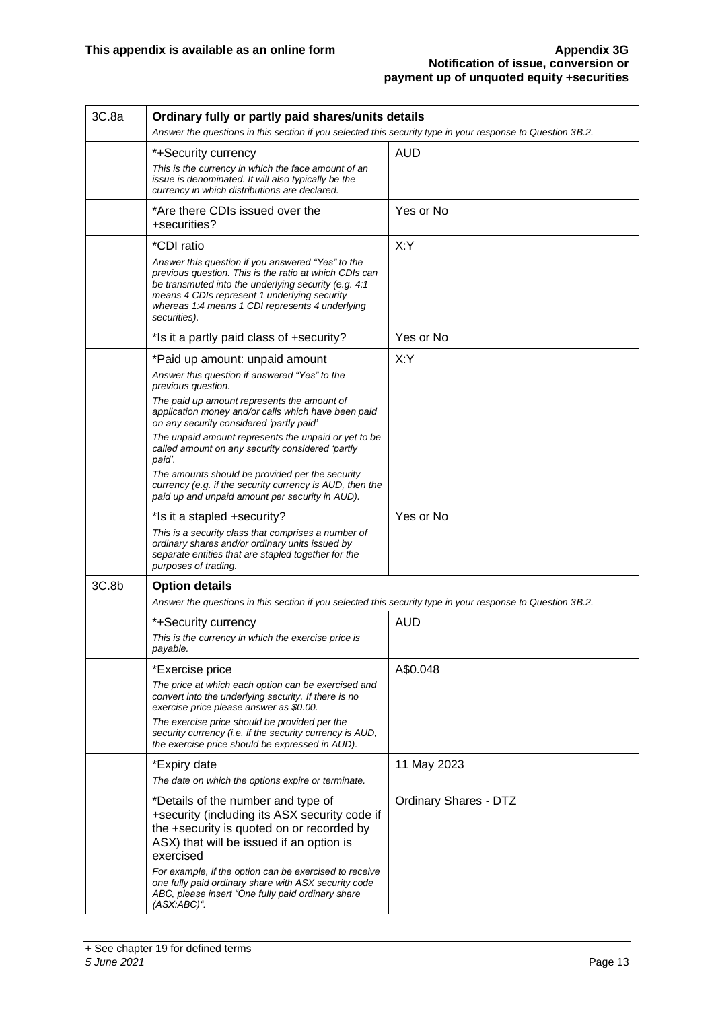| 3C.8a | Ordinary fully or partly paid shares/units details<br>Answer the questions in this section if you selected this security type in your response to Question 3B.2.                                                                                                                                                                                                                |                              |  |  |
|-------|---------------------------------------------------------------------------------------------------------------------------------------------------------------------------------------------------------------------------------------------------------------------------------------------------------------------------------------------------------------------------------|------------------------------|--|--|
|       | *+Security currency<br>This is the currency in which the face amount of an<br>issue is denominated. It will also typically be the<br>currency in which distributions are declared.                                                                                                                                                                                              | <b>AUD</b>                   |  |  |
|       | *Are there CDIs issued over the<br>+securities?                                                                                                                                                                                                                                                                                                                                 | Yes or No                    |  |  |
|       | *CDI ratio<br>Answer this question if you answered "Yes" to the<br>previous question. This is the ratio at which CDIs can<br>be transmuted into the underlying security (e.g. 4:1<br>means 4 CDIs represent 1 underlying security<br>whereas 1:4 means 1 CDI represents 4 underlying<br>securities).                                                                            | X:Y                          |  |  |
|       | *Is it a partly paid class of +security?                                                                                                                                                                                                                                                                                                                                        | Yes or No                    |  |  |
|       | *Paid up amount: unpaid amount<br>Answer this question if answered "Yes" to the<br>previous question.<br>The paid up amount represents the amount of                                                                                                                                                                                                                            | X:Y                          |  |  |
|       | application money and/or calls which have been paid<br>on any security considered 'partly paid'<br>The unpaid amount represents the unpaid or yet to be<br>called amount on any security considered 'partly<br>paid'.<br>The amounts should be provided per the security                                                                                                        |                              |  |  |
|       | currency (e.g. if the security currency is AUD, then the<br>paid up and unpaid amount per security in AUD).                                                                                                                                                                                                                                                                     |                              |  |  |
|       | *Is it a stapled +security?<br>This is a security class that comprises a number of<br>ordinary shares and/or ordinary units issued by<br>separate entities that are stapled together for the<br>purposes of trading.                                                                                                                                                            | Yes or No                    |  |  |
| 3C.8b | <b>Option details</b><br>Answer the questions in this section if you selected this security type in your response to Question 3B.2.                                                                                                                                                                                                                                             |                              |  |  |
|       | *+Security currency<br>This is the currency in which the exercise price is<br>payable.                                                                                                                                                                                                                                                                                          | <b>AUD</b>                   |  |  |
|       | *Exercise price<br>The price at which each option can be exercised and<br>convert into the underlying security. If there is no<br>exercise price please answer as \$0.00.<br>The exercise price should be provided per the<br>security currency (i.e. if the security currency is AUD,<br>the exercise price should be expressed in AUD).                                       | A\$0.048                     |  |  |
|       | *Expiry date<br>The date on which the options expire or terminate.                                                                                                                                                                                                                                                                                                              | 11 May 2023                  |  |  |
|       | *Details of the number and type of<br>+security (including its ASX security code if<br>the +security is quoted on or recorded by<br>ASX) that will be issued if an option is<br>exercised<br>For example, if the option can be exercised to receive<br>one fully paid ordinary share with ASX security code<br>ABC, please insert "One fully paid ordinary share<br>(ASX:ABC)". | <b>Ordinary Shares - DTZ</b> |  |  |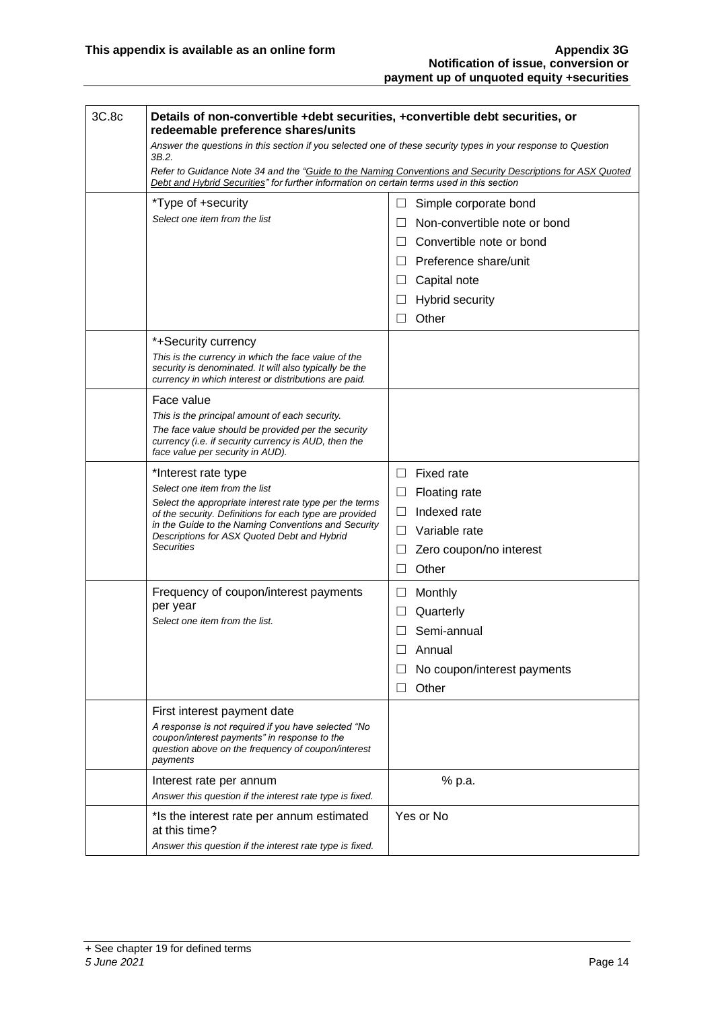| 3C.8c | Details of non-convertible +debt securities, +convertible debt securities, or<br>redeemable preference shares/units                                                                                      |                                        |  |  |  |
|-------|----------------------------------------------------------------------------------------------------------------------------------------------------------------------------------------------------------|----------------------------------------|--|--|--|
|       | Answer the questions in this section if you selected one of these security types in your response to Question<br>3B.2.                                                                                   |                                        |  |  |  |
|       | Refer to Guidance Note 34 and the "Guide to the Naming Conventions and Security Descriptions for ASX Quoted<br>Debt and Hybrid Securities" for further information on certain terms used in this section |                                        |  |  |  |
|       | *Type of +security                                                                                                                                                                                       | $\Box$<br>Simple corporate bond        |  |  |  |
|       | Select one item from the list                                                                                                                                                                            | Non-convertible note or bond<br>$\Box$ |  |  |  |
|       |                                                                                                                                                                                                          | Convertible note or bond<br>$\perp$    |  |  |  |
|       |                                                                                                                                                                                                          | Preference share/unit<br>П             |  |  |  |
|       |                                                                                                                                                                                                          | Capital note<br>ш                      |  |  |  |
|       |                                                                                                                                                                                                          | <b>Hybrid security</b><br>$\Box$       |  |  |  |
|       |                                                                                                                                                                                                          | Other<br>П                             |  |  |  |
|       | *+Security currency                                                                                                                                                                                      |                                        |  |  |  |
|       | This is the currency in which the face value of the<br>security is denominated. It will also typically be the<br>currency in which interest or distributions are paid.                                   |                                        |  |  |  |
|       | Face value                                                                                                                                                                                               |                                        |  |  |  |
|       | This is the principal amount of each security.                                                                                                                                                           |                                        |  |  |  |
|       | The face value should be provided per the security<br>currency (i.e. if security currency is AUD, then the<br>face value per security in AUD).                                                           |                                        |  |  |  |
|       | *Interest rate type                                                                                                                                                                                      | <b>Fixed rate</b><br>П.                |  |  |  |
|       | Select one item from the list                                                                                                                                                                            | <b>Floating rate</b><br>ப              |  |  |  |
|       | Select the appropriate interest rate type per the terms<br>of the security. Definitions for each type are provided                                                                                       | Indexed rate<br>$\Box$                 |  |  |  |
|       | in the Guide to the Naming Conventions and Security<br>Descriptions for ASX Quoted Debt and Hybrid                                                                                                       | Variable rate<br>П                     |  |  |  |
|       | <b>Securities</b>                                                                                                                                                                                        | Zero coupon/no interest<br>Ш           |  |  |  |
|       |                                                                                                                                                                                                          | Other<br>$\perp$                       |  |  |  |
|       | Frequency of coupon/interest payments                                                                                                                                                                    | Monthly<br>⊔                           |  |  |  |
|       | per year                                                                                                                                                                                                 | Quarterly<br>$\Box$                    |  |  |  |
|       | Select one item from the list.                                                                                                                                                                           | Semi-annual                            |  |  |  |
|       |                                                                                                                                                                                                          | Annual                                 |  |  |  |
|       |                                                                                                                                                                                                          | No coupon/interest payments            |  |  |  |
|       |                                                                                                                                                                                                          | Other<br>$\perp$                       |  |  |  |
|       | First interest payment date                                                                                                                                                                              |                                        |  |  |  |
|       | A response is not required if you have selected "No<br>coupon/interest payments" in response to the<br>question above on the frequency of coupon/interest<br>payments                                    |                                        |  |  |  |
|       | Interest rate per annum<br>Answer this question if the interest rate type is fixed.                                                                                                                      | % p.a.                                 |  |  |  |
|       | *Is the interest rate per annum estimated<br>at this time?<br>Answer this question if the interest rate type is fixed.                                                                                   | Yes or No                              |  |  |  |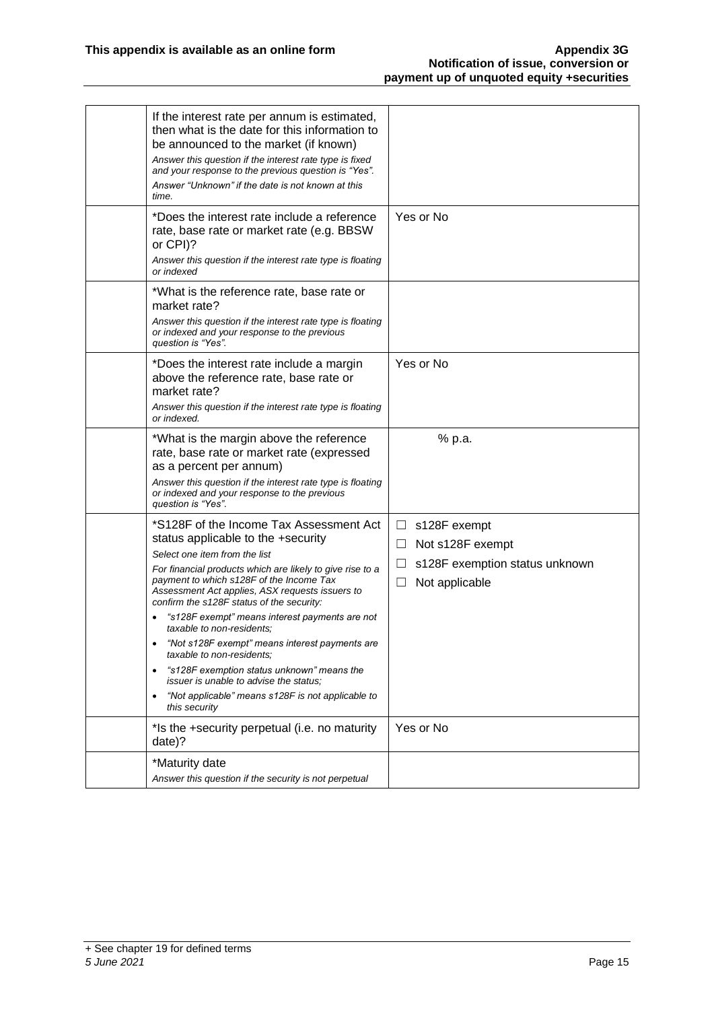| If the interest rate per annum is estimated,<br>then what is the date for this information to<br>be announced to the market (if known)<br>Answer this question if the interest rate type is fixed<br>and your response to the previous question is "Yes".<br>Answer "Unknown" if the date is not known at this<br>time.                                                                                                                                                                                                                                                                                                                                                      |                                                                                                                      |
|------------------------------------------------------------------------------------------------------------------------------------------------------------------------------------------------------------------------------------------------------------------------------------------------------------------------------------------------------------------------------------------------------------------------------------------------------------------------------------------------------------------------------------------------------------------------------------------------------------------------------------------------------------------------------|----------------------------------------------------------------------------------------------------------------------|
| *Does the interest rate include a reference<br>rate, base rate or market rate (e.g. BBSW<br>or CPI)?<br>Answer this question if the interest rate type is floating<br>or indexed                                                                                                                                                                                                                                                                                                                                                                                                                                                                                             | Yes or No                                                                                                            |
| *What is the reference rate, base rate or<br>market rate?<br>Answer this question if the interest rate type is floating<br>or indexed and your response to the previous<br>question is "Yes".                                                                                                                                                                                                                                                                                                                                                                                                                                                                                |                                                                                                                      |
| *Does the interest rate include a margin<br>above the reference rate, base rate or<br>market rate?<br>Answer this question if the interest rate type is floating<br>or indexed.                                                                                                                                                                                                                                                                                                                                                                                                                                                                                              | Yes or No                                                                                                            |
| *What is the margin above the reference<br>rate, base rate or market rate (expressed<br>as a percent per annum)<br>Answer this question if the interest rate type is floating<br>or indexed and your response to the previous<br>question is "Yes".                                                                                                                                                                                                                                                                                                                                                                                                                          | % p.a.                                                                                                               |
| *S128F of the Income Tax Assessment Act<br>status applicable to the +security<br>Select one item from the list<br>For financial products which are likely to give rise to a<br>payment to which s128F of the Income Tax<br>Assessment Act applies, ASX requests issuers to<br>confirm the s128F status of the security:<br>"s128F exempt" means interest payments are not<br>taxable to non-residents:<br>"Not s128F exempt" means interest payments are<br>٠<br>taxable to non-residents:<br>"s128F exemption status unknown" means the<br><i>issuer is unable to advise the status:</i><br>"Not applicable" means s128F is not applicable to<br>$\bullet$<br>this security | $\Box$ s128F exempt<br>$\Box$<br>Not s128F exempt<br>s128F exemption status unknown<br>⊔<br>Not applicable<br>$\Box$ |
| *Is the +security perpetual (i.e. no maturity<br>date)?                                                                                                                                                                                                                                                                                                                                                                                                                                                                                                                                                                                                                      | Yes or No                                                                                                            |
| *Maturity date<br>Answer this question if the security is not perpetual                                                                                                                                                                                                                                                                                                                                                                                                                                                                                                                                                                                                      |                                                                                                                      |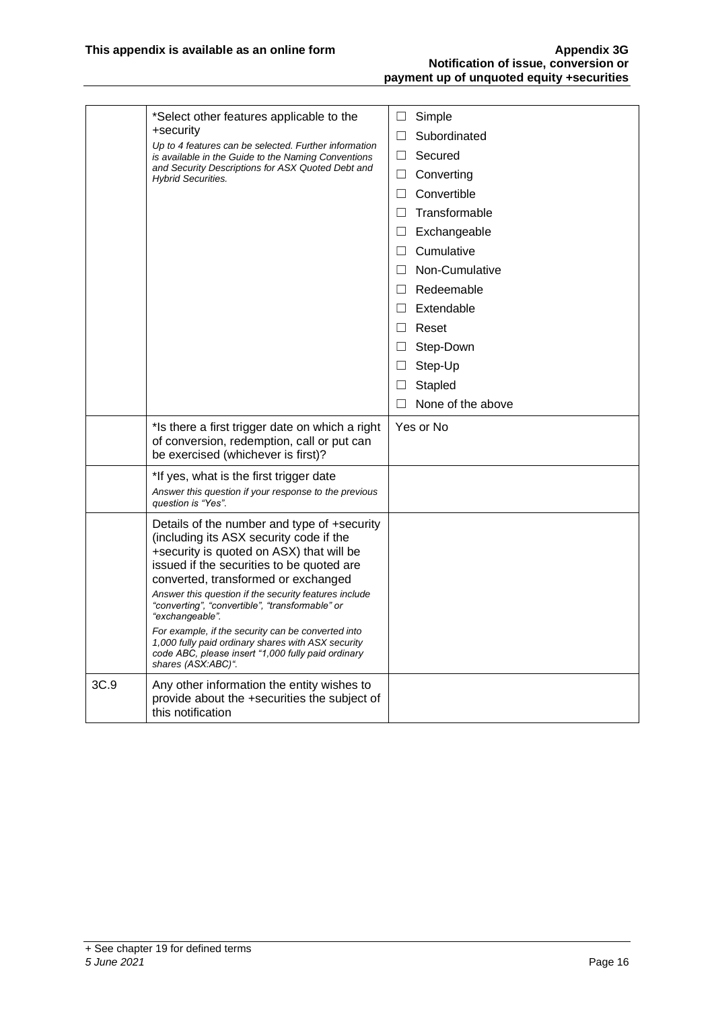|      | *Select other features applicable to the                                                                                                                                                                                                                                                                                                                                                                                                                          | $\Box$ Simple          |
|------|-------------------------------------------------------------------------------------------------------------------------------------------------------------------------------------------------------------------------------------------------------------------------------------------------------------------------------------------------------------------------------------------------------------------------------------------------------------------|------------------------|
|      | +security<br>Up to 4 features can be selected. Further information                                                                                                                                                                                                                                                                                                                                                                                                | Subordinated<br>$\Box$ |
|      | is available in the Guide to the Naming Conventions                                                                                                                                                                                                                                                                                                                                                                                                               | Secured<br>$\Box$      |
|      | and Security Descriptions for ASX Quoted Debt and<br><b>Hybrid Securities.</b>                                                                                                                                                                                                                                                                                                                                                                                    | Converting<br>$\Box$   |
|      |                                                                                                                                                                                                                                                                                                                                                                                                                                                                   | Convertible<br>$\Box$  |
|      |                                                                                                                                                                                                                                                                                                                                                                                                                                                                   | Transformable<br>П     |
|      |                                                                                                                                                                                                                                                                                                                                                                                                                                                                   | Exchangeable<br>$\Box$ |
|      |                                                                                                                                                                                                                                                                                                                                                                                                                                                                   | $\Box$ Cumulative      |
|      |                                                                                                                                                                                                                                                                                                                                                                                                                                                                   | □ Non-Cumulative       |
|      |                                                                                                                                                                                                                                                                                                                                                                                                                                                                   | $\Box$ Redeemable      |
|      |                                                                                                                                                                                                                                                                                                                                                                                                                                                                   | $\Box$ Extendable      |
|      |                                                                                                                                                                                                                                                                                                                                                                                                                                                                   | $\Box$ Reset           |
|      |                                                                                                                                                                                                                                                                                                                                                                                                                                                                   | $\Box$<br>Step-Down    |
|      |                                                                                                                                                                                                                                                                                                                                                                                                                                                                   | Step-Up<br>$\Box$      |
|      |                                                                                                                                                                                                                                                                                                                                                                                                                                                                   | Stapled<br>$\Box$      |
|      |                                                                                                                                                                                                                                                                                                                                                                                                                                                                   | None of the above<br>П |
|      | *Is there a first trigger date on which a right<br>of conversion, redemption, call or put can<br>be exercised (whichever is first)?                                                                                                                                                                                                                                                                                                                               | Yes or No              |
|      | *If yes, what is the first trigger date<br>Answer this question if your response to the previous<br>question is "Yes".                                                                                                                                                                                                                                                                                                                                            |                        |
|      | Details of the number and type of +security<br>(including its ASX security code if the<br>+security is quoted on ASX) that will be<br>issued if the securities to be quoted are<br>converted, transformed or exchanged<br>Answer this question if the security features include<br>"converting", "convertible", "transformable" or<br>"exchangeable".<br>For example, if the security can be converted into<br>1,000 fully paid ordinary shares with ASX security |                        |
|      | code ABC, please insert "1,000 fully paid ordinary<br>shares (ASX:ABC)".                                                                                                                                                                                                                                                                                                                                                                                          |                        |
| 3C.9 | Any other information the entity wishes to<br>provide about the +securities the subject of<br>this notification                                                                                                                                                                                                                                                                                                                                                   |                        |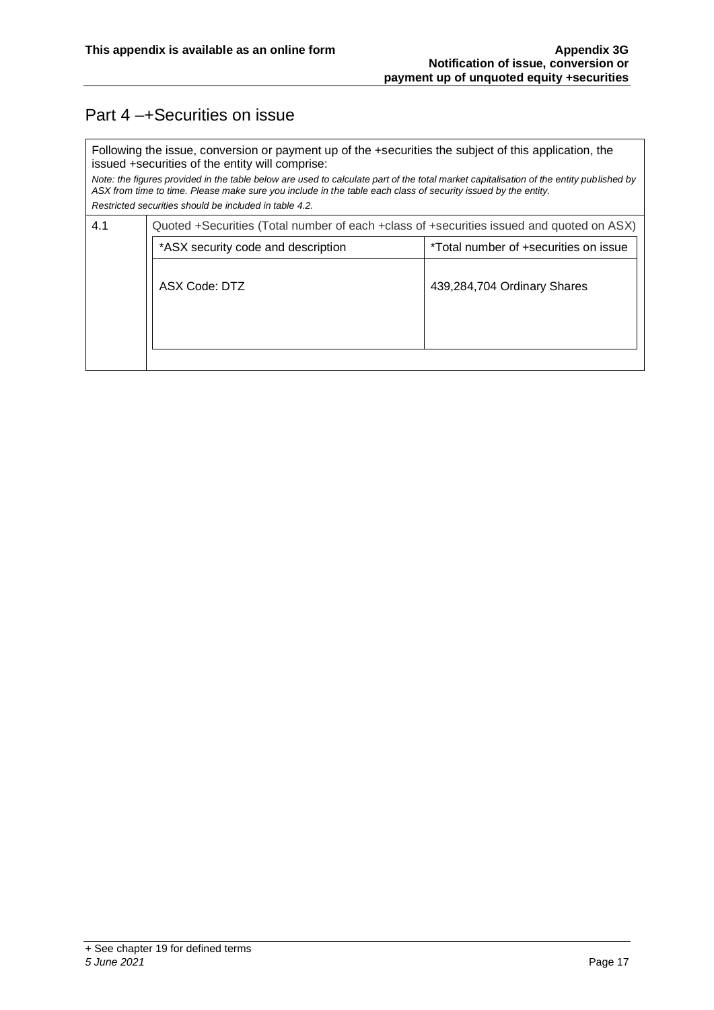### Part 4 –+Securities on issue

Following the issue, conversion or payment up of the +securities the subject of this application, the issued +securities of the entity will comprise:

*Note: the figures provided in the table below are used to calculate part of the total market capitalisation of the entity published by ASX from time to time. Please make sure you include in the table each class of security issued by the entity. Restricted securities should be included in table 4.2.*

| 4.1                                | Quoted +Securities (Total number of each +class of +securities issued and quoted on ASX) |  |  |  |
|------------------------------------|------------------------------------------------------------------------------------------|--|--|--|
| *ASX security code and description | *Total number of +securities on issue                                                    |  |  |  |
| ASX Code: DTZ                      | 439,284,704 Ordinary Shares                                                              |  |  |  |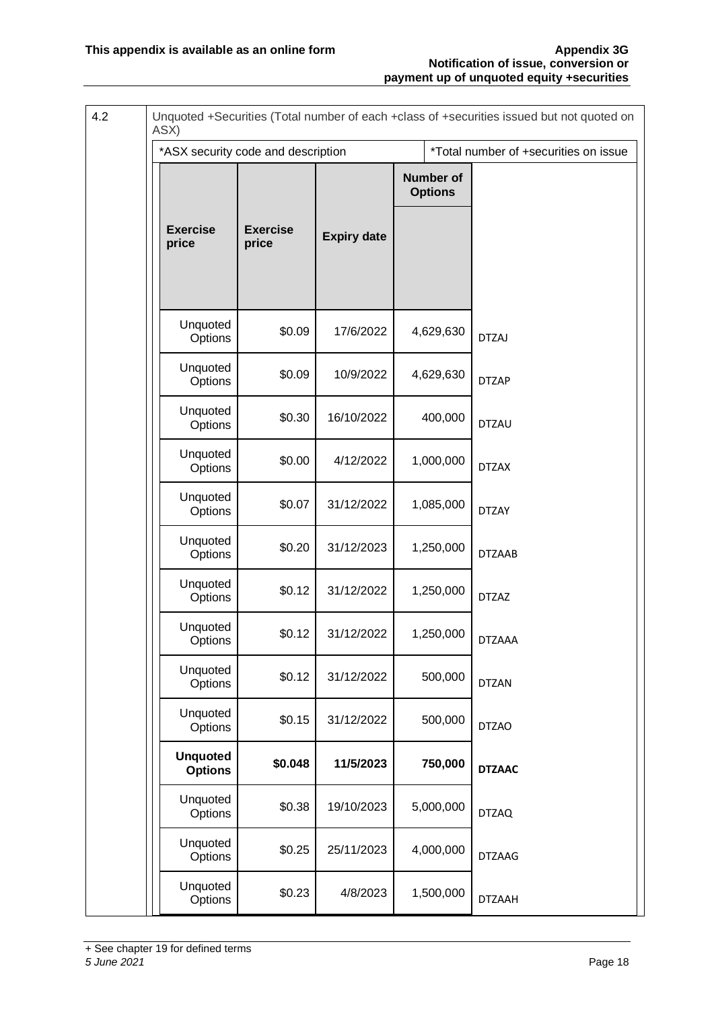| 4.2 | ASX)                               |                          |                    |                                    | Unquoted +Securities (Total number of each +class of +securities issued but not quoted on |
|-----|------------------------------------|--------------------------|--------------------|------------------------------------|-------------------------------------------------------------------------------------------|
|     | *ASX security code and description |                          |                    |                                    | *Total number of +securities on issue                                                     |
|     |                                    |                          |                    | <b>Number of</b><br><b>Options</b> |                                                                                           |
|     | <b>Exercise</b><br>price           | <b>Exercise</b><br>price | <b>Expiry date</b> |                                    |                                                                                           |
|     | Unquoted<br>Options                | \$0.09                   | 17/6/2022          | 4,629,630                          | <b>DTZAJ</b>                                                                              |
|     | Unquoted<br>Options                | \$0.09                   | 10/9/2022          | 4,629,630                          | <b>DTZAP</b>                                                                              |
|     | Unquoted<br>Options                | \$0.30                   | 16/10/2022         | 400,000                            | <b>DTZAU</b>                                                                              |
|     | Unquoted<br>Options                | \$0.00                   | 4/12/2022          | 1,000,000                          | <b>DTZAX</b>                                                                              |
|     | Unquoted<br>Options                | \$0.07                   | 31/12/2022         | 1,085,000                          | <b>DTZAY</b>                                                                              |
|     | Unquoted<br>Options                | \$0.20                   | 31/12/2023         | 1,250,000                          | <b>DTZAAB</b>                                                                             |
|     | Unquoted<br>Options                | \$0.12                   | 31/12/2022         | 1,250,000                          | <b>DTZAZ</b>                                                                              |
|     | Unquoted<br>Options                | \$0.12                   | 31/12/2022         | 1,250,000                          | <b>DTZAAA</b>                                                                             |
|     | Unquoted<br>Options                | \$0.12                   | 31/12/2022         | 500,000                            | <b>DTZAN</b>                                                                              |
|     | Unquoted<br>Options                | \$0.15                   | 31/12/2022         | 500,000                            | <b>DTZAO</b>                                                                              |
|     | <b>Unquoted</b><br><b>Options</b>  | \$0.048                  | 11/5/2023          | 750,000                            | <b>DTZAAC</b>                                                                             |
|     | Unquoted<br>Options                | \$0.38                   | 19/10/2023         | 5,000,000                          | <b>DTZAQ</b>                                                                              |
|     | Unquoted<br>Options                | \$0.25                   | 25/11/2023         | 4,000,000                          | <b>DTZAAG</b>                                                                             |
|     | Unquoted<br>Options                | \$0.23                   | 4/8/2023           | 1,500,000                          | <b>DTZAAH</b>                                                                             |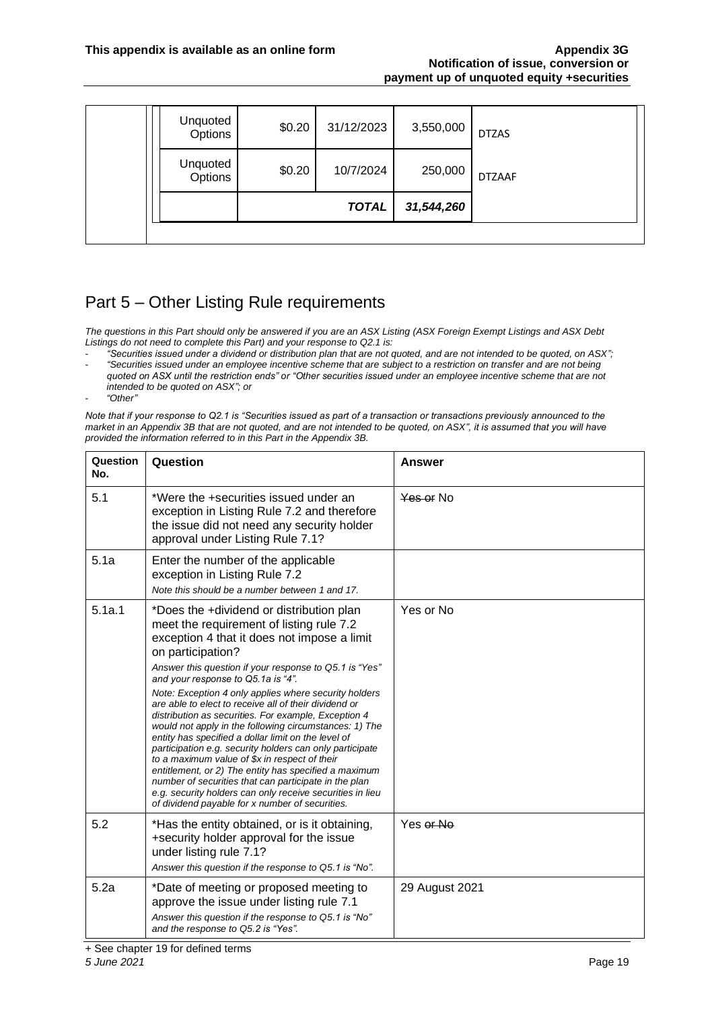|                     |        | <b>TOTAL</b> | 31,544,260 |               |
|---------------------|--------|--------------|------------|---------------|
|                     |        |              |            |               |
| Unquoted<br>Options | \$0.20 | 10/7/2024    | 250,000    | <b>DTZAAF</b> |
| Unquoted<br>Options | \$0.20 | 31/12/2023   | 3,550,000  | <b>DTZAS</b>  |

### Part 5 – Other Listing Rule requirements

*The questions in this Part should only be answered if you are an ASX Listing (ASX Foreign Exempt Listings and ASX Debt Listings do not need to complete this Part) and your response to Q2.1 is:*

- *"Securities issued under a dividend or distribution plan that are not quoted, and are not intended to be quoted, on ASX";* - *"Securities issued under an employee incentive scheme that are subject to a restriction on transfer and are not being*
- *quoted on ASX until the restriction ends" or "Other securities issued under an employee incentive scheme that are not intended to be quoted on ASX"; or*
- *"Other"*

*Note that if your response to Q2.1 is "Securities issued as part of a transaction or transactions previously announced to the market in an Appendix 3B that are not quoted, and are not intended to be quoted, on ASX", it is assumed that you will have provided the information referred to in this Part in the Appendix 3B.*

| Question<br>No. | Question                                                                                                                                                                                                                                                                                                                                                                                                                                                                                                                                                                                                                               | <b>Answer</b>  |
|-----------------|----------------------------------------------------------------------------------------------------------------------------------------------------------------------------------------------------------------------------------------------------------------------------------------------------------------------------------------------------------------------------------------------------------------------------------------------------------------------------------------------------------------------------------------------------------------------------------------------------------------------------------------|----------------|
| 5.1             | *Were the +securities issued under an<br>exception in Listing Rule 7.2 and therefore<br>the issue did not need any security holder<br>approval under Listing Rule 7.1?                                                                                                                                                                                                                                                                                                                                                                                                                                                                 | Yes or No      |
| 5.1a            | Enter the number of the applicable<br>exception in Listing Rule 7.2<br>Note this should be a number between 1 and 17.                                                                                                                                                                                                                                                                                                                                                                                                                                                                                                                  |                |
| 5.1a.1          | *Does the +dividend or distribution plan<br>meet the requirement of listing rule 7.2<br>exception 4 that it does not impose a limit<br>on participation?                                                                                                                                                                                                                                                                                                                                                                                                                                                                               | Yes or No      |
|                 | Answer this question if your response to Q5.1 is "Yes"<br>and your response to Q5.1a is "4".                                                                                                                                                                                                                                                                                                                                                                                                                                                                                                                                           |                |
|                 | Note: Exception 4 only applies where security holders<br>are able to elect to receive all of their dividend or<br>distribution as securities. For example, Exception 4<br>would not apply in the following circumstances: 1) The<br>entity has specified a dollar limit on the level of<br>participation e.g. security holders can only participate<br>to a maximum value of \$x in respect of their<br>entitlement, or 2) The entity has specified a maximum<br>number of securities that can participate in the plan<br>e.g. security holders can only receive securities in lieu<br>of dividend payable for x number of securities. |                |
| 5.2             | *Has the entity obtained, or is it obtaining,<br>+security holder approval for the issue<br>under listing rule 7.1?<br>Answer this question if the response to Q5.1 is "No".                                                                                                                                                                                                                                                                                                                                                                                                                                                           | Yes or No      |
| 5.2a            | *Date of meeting or proposed meeting to<br>approve the issue under listing rule 7.1<br>Answer this question if the response to Q5.1 is "No"<br>and the response to Q5.2 is "Yes".                                                                                                                                                                                                                                                                                                                                                                                                                                                      | 29 August 2021 |